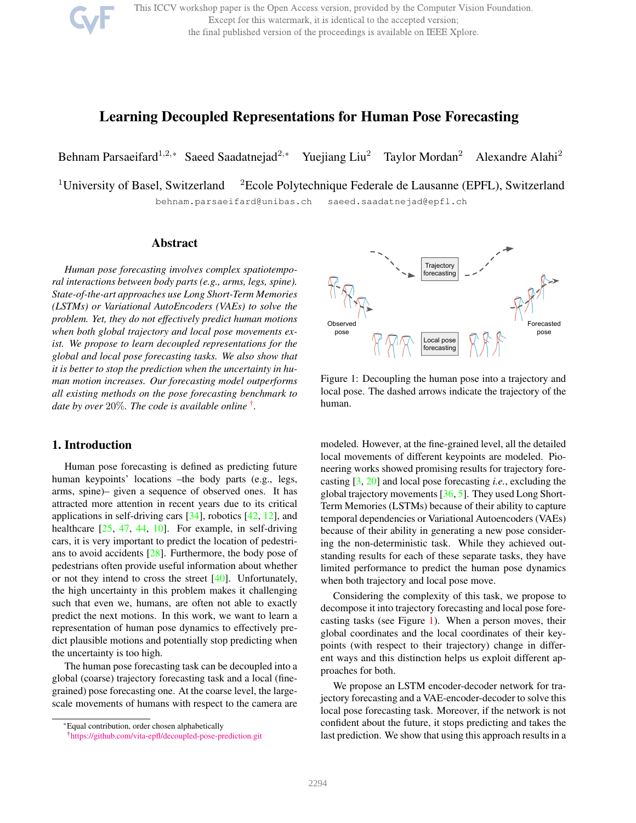

This ICCV workshop paper is the Open Access version, provided by the Computer Vision Foundation. Except for this watermark, it is identical to the accepted version; the final published version of the proceedings is available on IEEE Xplore.

### <span id="page-0-2"></span>Learning Decoupled Representations for Human Pose Forecasting

Behnam Parsaeifard<sup>1,2,\*</sup> Saeed Saadatnejad<sup>2,\*</sup> Yuejiang Liu<sup>2</sup> Taylor Mordan<sup>2</sup> Alexandre Alahi<sup>2</sup>

<sup>1</sup>University of Basel, Switzerland <sup>2</sup>Ecole Polytechnique Federale de Lausanne (EPFL), Switzerland behnam.parsaeifard@unibas.ch saeed.saadatnejad@epfl.ch

#### Abstract

*Human pose forecasting involves complex spatiotemporal interactions between body parts (e.g., arms, legs, spine). State-of-the-art approaches use Long Short-Term Memories (LSTMs) or Variational AutoEncoders (VAEs) to solve the problem. Yet, they do not effectively predict human motions when both global trajectory and local pose movements exist. We propose to learn decoupled representations for the global and local pose forecasting tasks. We also show that it is better to stop the prediction when the uncertainty in human motion increases. Our forecasting model outperforms all existing methods on the pose forecasting benchmark to date by over* 20%*. The code is available online* [†](#page-0-0) *.*

#### 1. Introduction

Human pose forecasting is defined as predicting future human keypoints' locations –the body parts (e.g., legs, arms, spine)– given a sequence of observed ones. It has attracted more attention in recent years due to its critical applications in self-driving cars [\[34\]](#page-8-0), robotics [\[42,](#page-8-1) [12\]](#page-7-0), and healthcare [\[25,](#page-7-1) [47,](#page-8-2) [44,](#page-8-3) [10\]](#page-7-2). For example, in self-driving cars, it is very important to predict the location of pedestrians to avoid accidents [\[28\]](#page-8-4). Furthermore, the body pose of pedestrians often provide useful information about whether or not they intend to cross the street  $[40]$ . Unfortunately, the high uncertainty in this problem makes it challenging such that even we, humans, are often not able to exactly predict the next motions. In this work, we want to learn a representation of human pose dynamics to effectively predict plausible motions and potentially stop predicting when the uncertainty is too high.

The human pose forecasting task can be decoupled into a global (coarse) trajectory forecasting task and a local (finegrained) pose forecasting one. At the coarse level, the largescale movements of humans with respect to the camera are

<span id="page-0-1"></span>

Figure 1: Decoupling the human pose into a trajectory and local pose. The dashed arrows indicate the trajectory of the human.

modeled. However, at the fine-grained level, all the detailed local movements of different keypoints are modeled. Pioneering works showed promising results for trajectory forecasting [\[3,](#page-7-3) [20\]](#page-7-4) and local pose forecasting *i.e.*, excluding the global trajectory movements [\[36,](#page-8-6) [5\]](#page-7-5). They used Long Short-Term Memories (LSTMs) because of their ability to capture temporal dependencies or Variational Autoencoders (VAEs) because of their ability in generating a new pose considering the non-deterministic task. While they achieved outstanding results for each of these separate tasks, they have limited performance to predict the human pose dynamics when both trajectory and local pose move.

Considering the complexity of this task, we propose to decompose it into trajectory forecasting and local pose forecasting tasks (see Figure [1\)](#page-0-1). When a person moves, their global coordinates and the local coordinates of their keypoints (with respect to their trajectory) change in different ways and this distinction helps us exploit different approaches for both.

We propose an LSTM encoder-decoder network for trajectory forecasting and a VAE-encoder-decoder to solve this local pose forecasting task. Moreover, if the network is not confident about the future, it stops predicting and takes the last prediction. We show that using this approach results in a

<sup>\*</sup>Equal contribution, order chosen alphabetically

<span id="page-0-0"></span><sup>†</sup><https://github.com/vita-epfl/decoupled-pose-prediction.git>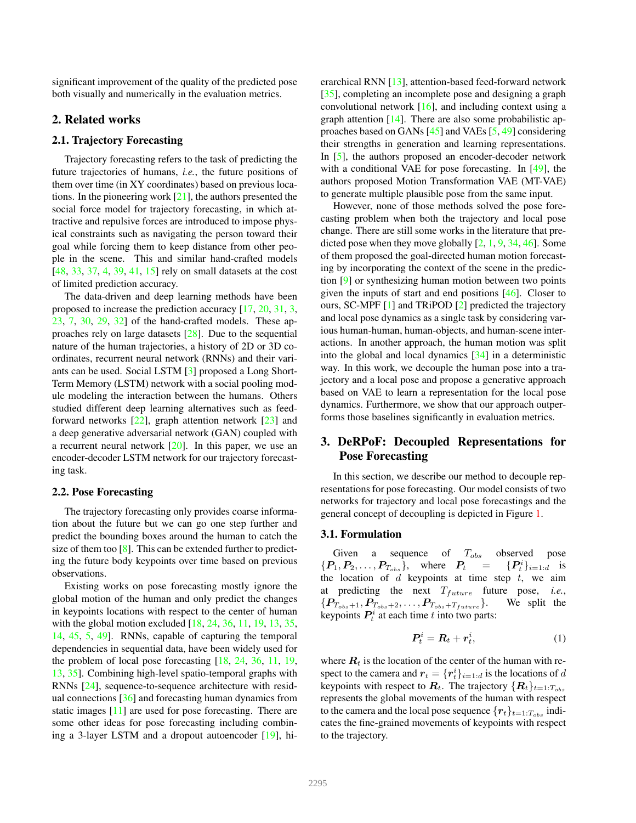<span id="page-1-0"></span>significant improvement of the quality of the predicted pose both visually and numerically in the evaluation metrics.

#### 2. Related works

#### 2.1. Trajectory Forecasting

Trajectory forecasting refers to the task of predicting the future trajectories of humans, *i.e.*, the future positions of them over time (in XY coordinates) based on previous locations. In the pioneering work  $[21]$ , the authors presented the social force model for trajectory forecasting, in which attractive and repulsive forces are introduced to impose physical constraints such as navigating the person toward their goal while forcing them to keep distance from other people in the scene. This and similar hand-crafted models [\[48,](#page-8-7) [33,](#page-8-8) [37,](#page-8-9) [4,](#page-7-7) [39,](#page-8-10) [41,](#page-8-11) [15\]](#page-7-8) rely on small datasets at the cost of limited prediction accuracy.

The data-driven and deep learning methods have been proposed to increase the prediction accuracy [\[17,](#page-7-9) [20,](#page-7-4) [31,](#page-8-12) [3,](#page-7-3) [23,](#page-7-10) [7,](#page-7-11) [30,](#page-8-13) [29,](#page-8-14) [32\]](#page-8-15) of the hand-crafted models. These approaches rely on large datasets [\[28\]](#page-8-4). Due to the sequential nature of the human trajectories, a history of 2D or 3D coordinates, recurrent neural network (RNNs) and their variants can be used. Social LSTM [\[3\]](#page-7-3) proposed a Long Short-Term Memory (LSTM) network with a social pooling module modeling the interaction between the humans. Others studied different deep learning alternatives such as feedforward networks [\[22\]](#page-7-12), graph attention network [\[23\]](#page-7-10) and a deep generative adversarial network (GAN) coupled with a recurrent neural network [\[20\]](#page-7-4). In this paper, we use an encoder-decoder LSTM network for our trajectory forecasting task.

#### 2.2. Pose Forecasting

The trajectory forecasting only provides coarse information about the future but we can go one step further and predict the bounding boxes around the human to catch the size of them too  $[8]$ . This can be extended further to predicting the future body keypoints over time based on previous observations.

Existing works on pose forecasting mostly ignore the global motion of the human and only predict the changes in keypoints locations with respect to the center of human with the global motion excluded [\[18,](#page-7-14) [24,](#page-7-15) [36,](#page-8-6) [11,](#page-7-16) [19,](#page-7-17) [13,](#page-7-18) [35,](#page-8-16) [14,](#page-7-19) [45,](#page-8-17) [5,](#page-7-5) [49\]](#page-9-0). RNNs, capable of capturing the temporal dependencies in sequential data, have been widely used for the problem of local pose forecasting [\[18,](#page-7-14) [24,](#page-7-15) [36,](#page-8-6) [11,](#page-7-16) [19,](#page-7-17) [13,](#page-7-18) [35\]](#page-8-16). Combining high-level spatio-temporal graphs with RNNs [\[24\]](#page-7-15), sequence-to-sequence architecture with residual connections [\[36\]](#page-8-6) and forecasting human dynamics from static images [\[11\]](#page-7-16) are used for pose forecasting. There are some other ideas for pose forecasting including combining a 3-layer LSTM and a dropout autoencoder [\[19\]](#page-7-17), hierarchical RNN [\[13\]](#page-7-18), attention-based feed-forward network [\[35\]](#page-8-16), completing an incomplete pose and designing a graph convolutional network [\[16\]](#page-7-20), and including context using a graph attention [\[14\]](#page-7-19). There are also some probabilistic approaches based on GANs [\[45\]](#page-8-17) and VAEs [\[5,](#page-7-5) [49\]](#page-9-0) considering their strengths in generation and learning representations. In [\[5\]](#page-7-5), the authors proposed an encoder-decoder network with a conditional VAE for pose forecasting. In [\[49\]](#page-9-0), the authors proposed Motion Transformation VAE (MT-VAE) to generate multiple plausible pose from the same input.

However, none of those methods solved the pose forecasting problem when both the trajectory and local pose change. There are still some works in the literature that predicted pose when they move globally  $[2, 1, 9, 34, 46]$  $[2, 1, 9, 34, 46]$  $[2, 1, 9, 34, 46]$  $[2, 1, 9, 34, 46]$  $[2, 1, 9, 34, 46]$  $[2, 1, 9, 34, 46]$  $[2, 1, 9, 34, 46]$  $[2, 1, 9, 34, 46]$  $[2, 1, 9, 34, 46]$ . Some of them proposed the goal-directed human motion forecasting by incorporating the context of the scene in the prediction [\[9\]](#page-7-21) or synthesizing human motion between two points given the inputs of start and end positions [\[46\]](#page-8-18). Closer to ours, SC-MPF [\[1\]](#page-5-1) and TRiPOD [\[2\]](#page-5-0) predicted the trajectory and local pose dynamics as a single task by considering various human-human, human-objects, and human-scene interactions. In another approach, the human motion was split into the global and local dynamics [\[34\]](#page-8-0) in a deterministic way. In this work, we decouple the human pose into a trajectory and a local pose and propose a generative approach based on VAE to learn a representation for the local pose dynamics. Furthermore, we show that our approach outperforms those baselines significantly in evaluation metrics.

#### 3. DeRPoF: Decoupled Representations for Pose Forecasting

In this section, we describe our method to decouple representations for pose forecasting. Our model consists of two networks for trajectory and local pose forecastings and the general concept of decoupling is depicted in Figure [1.](#page-0-1)

#### 3.1. Formulation

Given a sequence of  $T_{obs}$  observed pose  ${P_1, P_2, \ldots, P_{T_{obs}}}, \text{ where } P_t =$  $\{e_i^i\}_{i=1:d}$  is the location of  $d$  keypoints at time step  $t$ , we aim at predicting the next  $T_{future}$  future pose, *i.e.*,  ${P_{T_{obs}+1}, P_{T_{obs}+2}, \ldots, P_{T_{obs}+T_{future}}}$ . We split the keypoints  $P_t^i$  at each time t into two parts:

$$
\boldsymbol{P}_t^i = \boldsymbol{R}_t + \boldsymbol{r}_t^i,\tag{1}
$$

where  $R_t$  is the location of the center of the human with respect to the camera and  $r_t = \{r_t^i\}_{i=1:d}$  is the locations of d keypoints with respect to  $\mathbf{R}_t$ . The trajectory  $\{\mathbf{R}_t\}_{t=1:T_{obs}}$ represents the global movements of the human with respect to the camera and the local pose sequence  ${r_t}_{t=1:T_{obs}}$  indicates the fine-grained movements of keypoints with respect to the trajectory.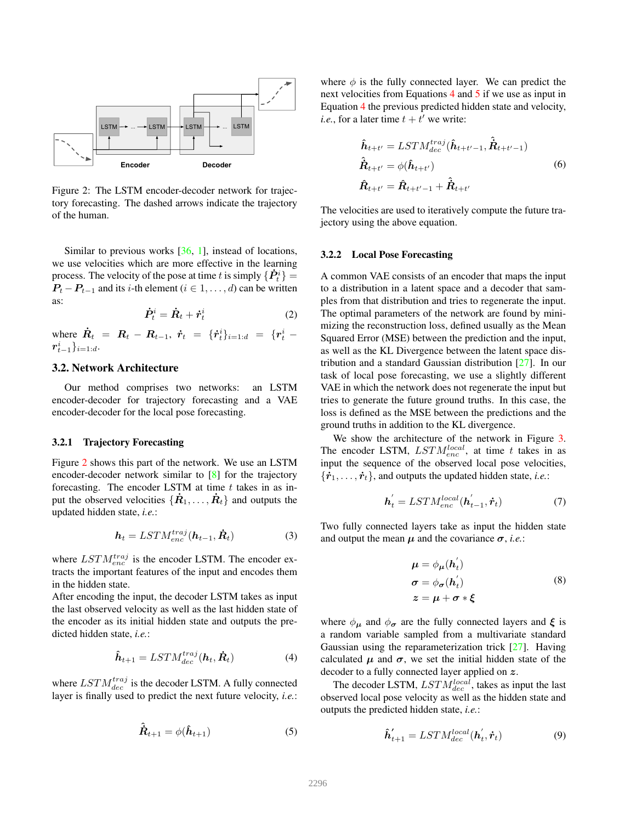<span id="page-2-4"></span><span id="page-2-0"></span>

Figure 2: The LSTM encoder-decoder network for trajectory forecasting. The dashed arrows indicate the trajectory of the human.

Similar to previous works [\[36,](#page-8-6) [1\]](#page-5-1), instead of locations, we use velocities which are more effective in the learning process. The velocity of the pose at time t is simply  $\{\dot{P}_t^i\} =$  $P_t - P_{t-1}$  and its *i*-th element ( $i \in 1, \ldots, d$ ) can be written as:

$$
\dot{\boldsymbol{P}}_t^i = \dot{\boldsymbol{R}}_t + \dot{\boldsymbol{r}}_t^i \tag{2}
$$

where  $\dot{R}_t = R_t - R_{t-1}, \dot{r}_t = \{\dot{r}_t^i\}_{i=1:d} = \{r_t^i$  $r_{t-1}^i\}_{i=1:d\cdot}$ 

#### 3.2. Network Architecture

Our method comprises two networks: an LSTM encoder-decoder for trajectory forecasting and a VAE encoder-decoder for the local pose forecasting.

#### 3.2.1 Trajectory Forecasting

Figure [2](#page-2-0) shows this part of the network. We use an LSTM encoder-decoder network similar to [\[8\]](#page-7-13) for the trajectory forecasting. The encoder LSTM at time  $t$  takes in as input the observed velocities  $\{\dot{R}_1, \ldots, \dot{R}_t\}$  and outputs the updated hidden state, *i.e.*:

$$
\boldsymbol{h}_t = LSTM_{enc}^{traj}(\boldsymbol{h}_{t-1}, \dot{\boldsymbol{R}}_t)
$$
(3)

where  $LSTM_{enc}^{traj}$  is the encoder LSTM. The encoder extracts the important features of the input and encodes them in the hidden state.

After encoding the input, the decoder LSTM takes as input the last observed velocity as well as the last hidden state of the encoder as its initial hidden state and outputs the predicted hidden state, *i.e.*:

$$
\hat{\boldsymbol{h}}_{t+1} = LSTM_{dec}^{traj}(\boldsymbol{h}_t, \dot{\boldsymbol{R}}_t)
$$
(4)

where  $LSTM_{dec}^{traj}$  is the decoder LSTM. A fully connected layer is finally used to predict the next future velocity, *i.e.*:

$$
\hat{\dot{\mathbf{R}}}_{t+1} = \phi(\hat{\mathbf{h}}_{t+1})
$$
\n(5)

where  $\phi$  is the fully connected layer. We can predict the next velocities from Equations [4](#page-2-1) and [5](#page-2-2) if we use as input in Equation [4](#page-2-1) the previous predicted hidden state and velocity, *i.e.*, for a later time  $t + t'$  we write:

$$
\hat{\mathbf{h}}_{t+t'} = LSTM_{dec}^{traj}(\hat{\mathbf{h}}_{t+t'-1}, \mathbf{R}_{t+t'-1})
$$
\n
$$
\hat{\mathbf{R}}_{t+t'} = \phi(\hat{\mathbf{h}}_{t+t'})
$$
\n(6)\n
$$
\hat{\mathbf{R}}_{t+t'} = \hat{\mathbf{R}}_{t+t'-1} + \hat{\mathbf{R}}_{t+t'}
$$

The velocities are used to iteratively compute the future trajectory using the above equation.

#### 3.2.2 Local Pose Forecasting

A common VAE consists of an encoder that maps the input to a distribution in a latent space and a decoder that samples from that distribution and tries to regenerate the input. The optimal parameters of the network are found by minimizing the reconstruction loss, defined usually as the Mean Squared Error (MSE) between the prediction and the input, as well as the KL Divergence between the latent space distribution and a standard Gaussian distribution [\[27\]](#page-7-22). In our task of local pose forecasting, we use a slightly different VAE in which the network does not regenerate the input but tries to generate the future ground truths. In this case, the loss is defined as the MSE between the predictions and the ground truths in addition to the KL divergence.

We show the architecture of the network in Figure [3.](#page-3-0) The encoder LSTM,  $LSTM_{enc}^{local}$ , at time t takes in as input the sequence of the observed local pose velocities,  ${\bf \{\dot r}_1,\ldots,\dot r_t\}$ , and outputs the updated hidden state, *i.e.*:

$$
\boldsymbol{h}'_t = LSTM_{enc}^{local}(\boldsymbol{h}'_{t-1}, \boldsymbol{\dot{r}}_t) \tag{7}
$$

Two fully connected layers take as input the hidden state and output the mean  $\mu$  and the covariance  $\sigma$ , *i.e.*:

$$
\mu = \phi_{\mu}(\dot{h_t})
$$
  
\n
$$
\sigma = \phi_{\sigma}(\dot{h_t})
$$
  
\n
$$
z = \mu + \sigma * \xi
$$
 (8)

<span id="page-2-1"></span>where  $\phi_{\mu}$  and  $\phi_{\sigma}$  are the fully connected layers and  $\xi$  is a random variable sampled from a multivariate standard Gaussian using the reparameterization trick [\[27\]](#page-7-22). Having calculated  $\mu$  and  $\sigma$ , we set the initial hidden state of the decoder to a fully connected layer applied on z.

<span id="page-2-2"></span>The decoder LSTM,  $LSTM_{dec}^{local}$ , takes as input the last observed local pose velocity as well as the hidden state and outputs the predicted hidden state, *i.e.*:

<span id="page-2-3"></span>
$$
\hat{\boldsymbol{h}}'_{t+1} = LSTM_{dec}^{local}(\boldsymbol{h}'_t, \boldsymbol{\dot{r}}_t)
$$
\n(9)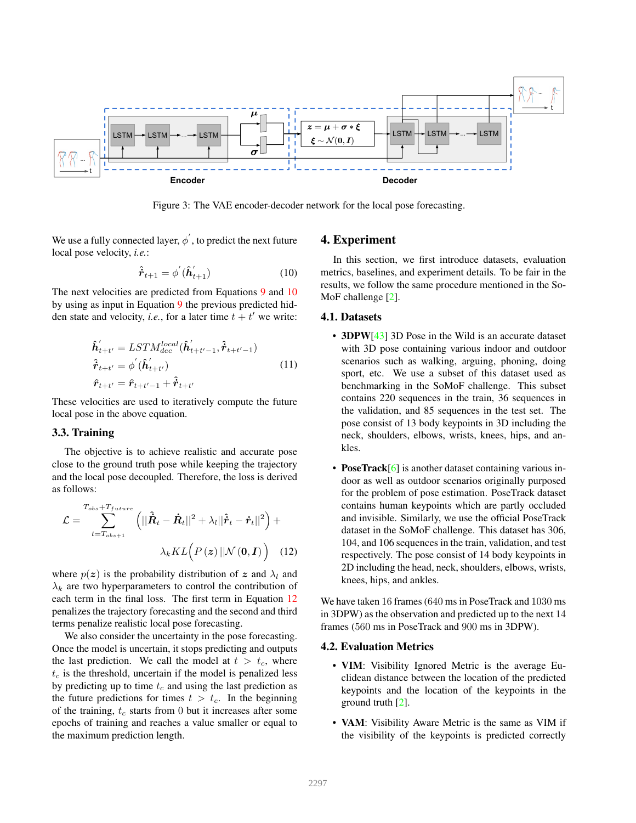<span id="page-3-4"></span><span id="page-3-0"></span>

Figure 3: The VAE encoder-decoder network for the local pose forecasting.

We use a fully connected layer,  $\phi^{'}$  , to predict the next future local pose velocity, *i.e.*:

<span id="page-3-1"></span>
$$
\hat{\boldsymbol{r}}_{t+1} = \phi'(\hat{\boldsymbol{h}}'_{t+1}) \tag{10}
$$

The next velocities are predicted from Equations [9](#page-2-3) and [10](#page-3-1) by using as input in Equation [9](#page-2-3) the previous predicted hidden state and velocity, *i.e.*, for a later time  $t + t'$  we write:

$$
\hat{\boldsymbol{h}}'_{t+t'} = LSTM_{dec}^{local}(\hat{\boldsymbol{h}}'_{t+t'-1}, \hat{\boldsymbol{r}}_{t+t'-1})
$$
\n
$$
\hat{\boldsymbol{r}}_{t+t'} = \phi'(\hat{\boldsymbol{h}}'_{t+t'})
$$
\n
$$
\hat{\boldsymbol{r}}_{t+t'} = \hat{\boldsymbol{r}}_{t+t'-1} + \hat{\boldsymbol{r}}_{t+t'}
$$
\n(11)

These velocities are used to iteratively compute the future local pose in the above equation.

#### 3.3. Training

The objective is to achieve realistic and accurate pose close to the ground truth pose while keeping the trajectory and the local pose decoupled. Therefore, the loss is derived as follows:

$$
\mathcal{L} = \sum_{t=T_{obs}+1}^{T_{obs}+T_{future}} \left( ||\hat{\boldsymbol{R}}_t - \dot{\boldsymbol{R}}_t||^2 + \lambda_l ||\hat{\boldsymbol{r}}_t - \dot{\boldsymbol{r}}_t||^2 \right) + \lambda_k KL\Big(P\left(z\right) ||\mathcal{N}\left(\boldsymbol{0},\boldsymbol{I}\right)\Big) \quad (12)
$$

where  $p(z)$  is the probability distribution of z and  $\lambda_l$  and  $\lambda_k$  are two hyperparameters to control the contribution of each term in the final loss. The first term in Equation [12](#page-3-2) penalizes the trajectory forecasting and the second and third terms penalize realistic local pose forecasting.

We also consider the uncertainty in the pose forecasting. Once the model is uncertain, it stops predicting and outputs the last prediction. We call the model at  $t > t_c$ , where  $t_c$  is the threshold, uncertain if the model is penalized less by predicting up to time  $t_c$  and using the last prediction as the future predictions for times  $t > t_c$ . In the beginning of the training,  $t_c$  starts from 0 but it increases after some epochs of training and reaches a value smaller or equal to the maximum prediction length.

#### 4. Experiment

1 In this section, we first introduce datasets, evaluation metrics, baselines, and experiment details. To be fair in the results, we follow the same procedure mentioned in the So-MoF challenge [\[2\]](#page-5-0).

#### 4.1. Datasets

- 3DPW[\[43\]](#page-8-19) 3D Pose in the Wild is an accurate dataset with 3D pose containing various indoor and outdoor scenarios such as walking, arguing, phoning, doing sport, etc. We use a subset of this dataset used as benchmarking in the SoMoF challenge. This subset contains 220 sequences in the train, 36 sequences in the validation, and 85 sequences in the test set. The pose consist of 13 body keypoints in 3D including the neck, shoulders, elbows, wrists, knees, hips, and ankles.
- PoseTrack[\[6\]](#page-7-23) is another dataset containing various indoor as well as outdoor scenarios originally purposed for the problem of pose estimation. PoseTrack dataset contains human keypoints which are partly occluded and invisible. Similarly, we use the official PoseTrack dataset in the SoMoF challenge. This dataset has 306, 104, and 106 sequences in the train, validation, and test respectively. The pose consist of 14 body keypoints in 2D including the head, neck, shoulders, elbows, wrists, knees, hips, and ankles.

<span id="page-3-2"></span>We have taken 16 frames (640 ms in PoseTrack and 1030 ms in 3DPW) as the observation and predicted up to the next 14 frames (560 ms in PoseTrack and 900 ms in 3DPW).

#### <span id="page-3-3"></span>4.2. Evaluation Metrics

- VIM: Visibility Ignored Metric is the average Euclidean distance between the location of the predicted keypoints and the location of the keypoints in the ground truth [\[2\]](#page-5-0).
- VAM: Visibility Aware Metric is the same as VIM if the visibility of the keypoints is predicted correctly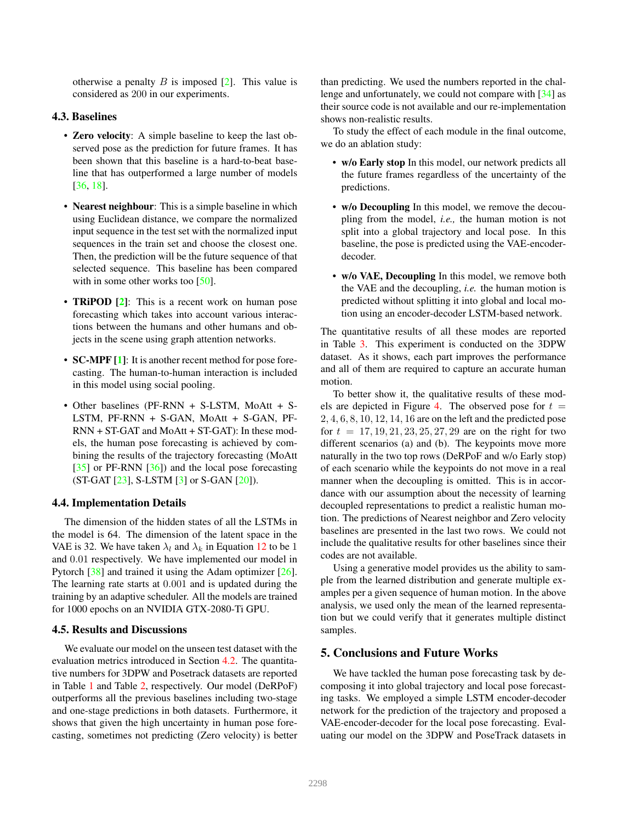<span id="page-4-0"></span>otherwise a penalty  $B$  is imposed  $[2]$ . This value is considered as 200 in our experiments.

#### 4.3. Baselines

- Zero velocity: A simple baseline to keep the last observed pose as the prediction for future frames. It has been shown that this baseline is a hard-to-beat baseline that has outperformed a large number of models [\[36,](#page-8-6) [18\]](#page-7-14).
- Nearest neighbour: This is a simple baseline in which using Euclidean distance, we compare the normalized input sequence in the test set with the normalized input sequences in the train set and choose the closest one. Then, the prediction will be the future sequence of that selected sequence. This baseline has been compared with in some other works too [\[50\]](#page-9-1).
- **TRIPOD** [\[2\]](#page-5-0): This is a recent work on human pose forecasting which takes into account various interactions between the humans and other humans and objects in the scene using graph attention networks.
- **SC-MPF** [\[1\]](#page-5-1): It is another recent method for pose forecasting. The human-to-human interaction is included in this model using social pooling.
- Other baselines (PF-RNN + S-LSTM, MoAtt + S-LSTM, PF-RNN + S-GAN, MoAtt + S-GAN, PF-RNN + ST-GAT and MoAtt + ST-GAT): In these models, the human pose forecasting is achieved by combining the results of the trajectory forecasting (MoAtt [\[35\]](#page-8-16) or PF-RNN [\[36\]](#page-8-6)) and the local pose forecasting (ST-GAT [\[23\]](#page-7-10), S-LSTM [\[3\]](#page-7-3) or S-GAN [\[20\]](#page-7-4)).

#### 4.4. Implementation Details

The dimension of the hidden states of all the LSTMs in the model is 64. The dimension of the latent space in the VAE is 32. We have taken  $\lambda_l$  and  $\lambda_k$  in Equation [12](#page-3-2) to be 1 and 0.01 respectively. We have implemented our model in Pytorch [\[38\]](#page-8-20) and trained it using the Adam optimizer [\[26\]](#page-7-24). The learning rate starts at 0.001 and is updated during the training by an adaptive scheduler. All the models are trained for 1000 epochs on an NVIDIA GTX-2080-Ti GPU.

#### 4.5. Results and Discussions

We evaluate our model on the unseen test dataset with the evaluation metrics introduced in Section [4.2.](#page-3-3) The quantitative numbers for 3DPW and Posetrack datasets are reported in Table [1](#page-5-2) and Table [2,](#page-5-3) respectively. Our model (DeRPoF) outperforms all the previous baselines including two-stage and one-stage predictions in both datasets. Furthermore, it shows that given the high uncertainty in human pose forecasting, sometimes not predicting (Zero velocity) is better than predicting. We used the numbers reported in the challenge and unfortunately, we could not compare with [\[34\]](#page-8-0) as their source code is not available and our re-implementation shows non-realistic results.

To study the effect of each module in the final outcome, we do an ablation study:

- w/o Early stop In this model, our network predicts all the future frames regardless of the uncertainty of the predictions.
- w/o Decoupling In this model, we remove the decoupling from the model, *i.e.,* the human motion is not split into a global trajectory and local pose. In this baseline, the pose is predicted using the VAE-encoderdecoder.
- w/o VAE, Decoupling In this model, we remove both the VAE and the decoupling, *i.e.* the human motion is predicted without splitting it into global and local motion using an encoder-decoder LSTM-based network.

The quantitative results of all these modes are reported in Table [3.](#page-5-4) This experiment is conducted on the 3DPW dataset. As it shows, each part improves the performance and all of them are required to capture an accurate human motion.

To better show it, the qualitative results of these mod-els are depicted in Figure [4.](#page-6-0) The observed pose for  $t =$ 2, 4, 6, 8, 10, 12, 14, 16 are on the left and the predicted pose for  $t = 17, 19, 21, 23, 25, 27, 29$  are on the right for two different scenarios (a) and (b). The keypoints move more naturally in the two top rows (DeRPoF and w/o Early stop) of each scenario while the keypoints do not move in a real manner when the decoupling is omitted. This is in accordance with our assumption about the necessity of learning decoupled representations to predict a realistic human motion. The predictions of Nearest neighbor and Zero velocity baselines are presented in the last two rows. We could not include the qualitative results for other baselines since their codes are not available.

Using a generative model provides us the ability to sample from the learned distribution and generate multiple examples per a given sequence of human motion. In the above analysis, we used only the mean of the learned representation but we could verify that it generates multiple distinct samples.

#### 5. Conclusions and Future Works

We have tackled the human pose forecasting task by decomposing it into global trajectory and local pose forecasting tasks. We employed a simple LSTM encoder-decoder network for the prediction of the trajectory and proposed a VAE-encoder-decoder for the local pose forecasting. Evaluating our model on the 3DPW and PoseTrack datasets in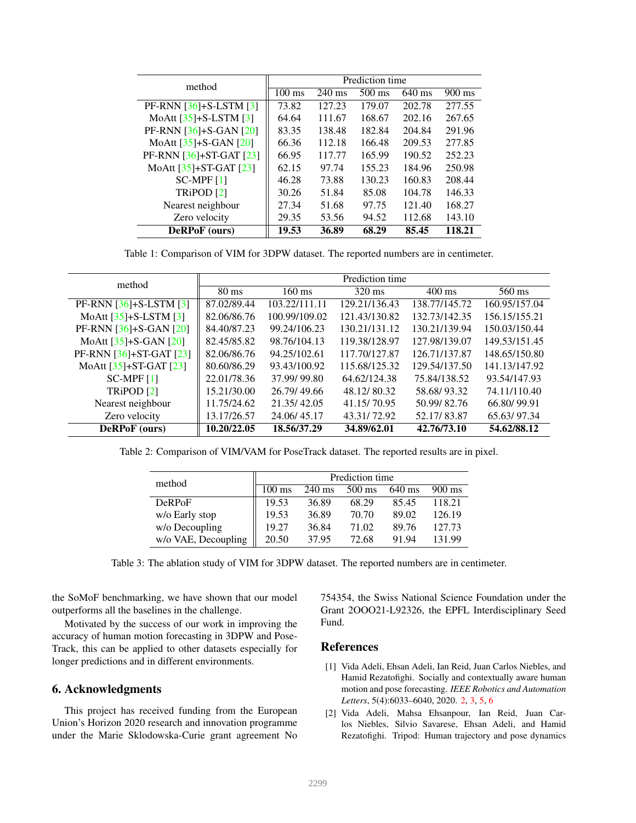<span id="page-5-5"></span><span id="page-5-2"></span>

| method                   | Prediction time  |                  |                  |          |                  |  |
|--------------------------|------------------|------------------|------------------|----------|------------------|--|
|                          | $100 \text{ ms}$ | $240 \text{ ms}$ | $500 \text{ ms}$ | $640$ ms | $900 \text{ ms}$ |  |
| PF-RNN $[36]+S-LSTM [3]$ | 73.82            | 127.23           | 179.07           | 202.78   | 277.55           |  |
| MoAtt $[35]+S-LSTM [3]$  | 64.64            | 111.67           | 168.67           | 202.16   | 267.65           |  |
| PF-RNN $[36]+S-GAN [20]$ | 83.35            | 138.48           | 182.84           | 204.84   | 291.96           |  |
| MoAtt $[35]+S-GAN [20]$  | 66.36            | 112.18           | 166.48           | 209.53   | 277.85           |  |
| PF-RNN [36]+ST-GAT [23]  | 66.95            | 117.77           | 165.99           | 190.52   | 252.23           |  |
| MoAtt [35]+ST-GAT [23]   | 62.15            | 97.74            | 155.23           | 184.96   | 250.98           |  |
| $SC-MPF[1]$              | 46.28            | 73.88            | 130.23           | 160.83   | 208.44           |  |
| TRiPOD <sup>[2]</sup>    | 30.26            | 51.84            | 85.08            | 104.78   | 146.33           |  |
| Nearest neighbour        | 27.34            | 51.68            | 97.75            | 121.40   | 168.27           |  |
| Zero velocity            | 29.35            | 53.56            | 94.52            | 112.68   | 143.10           |  |
| <b>DeRPoF</b> (ours)     | 19.53            | 36.89            | 68.29            | 85.45    | 118.21           |  |

Table 1: Comparison of VIM for 3DPW dataset. The reported numbers are in centimeter.

<span id="page-5-3"></span>

| method                      | Prediction time |                  |                  |                  |               |  |  |
|-----------------------------|-----------------|------------------|------------------|------------------|---------------|--|--|
|                             | $80 \text{ ms}$ | $160 \text{ ms}$ | $320 \text{ ms}$ | $400 \text{ ms}$ | 560 ms        |  |  |
| PF-RNN $[36]+S$ -LSTM $[3]$ | 87.02/89.44     | 103.22/111.11    | 129.21/136.43    | 138.77/145.72    | 160.95/157.04 |  |  |
| MoAtt $[35]+S-LSTM [3]$     | 82.06/86.76     | 100.99/109.02    | 121.43/130.82    | 132.73/142.35    | 156.15/155.21 |  |  |
| PF-RNN $[36]+S-GAN [20]$    | 84.40/87.23     | 99.24/106.23     | 130.21/131.12    | 130.21/139.94    | 150.03/150.44 |  |  |
| MoAtt $[35]+S-GAN [20]$     | 82.45/85.82     | 98.76/104.13     | 119.38/128.97    | 127.98/139.07    | 149.53/151.45 |  |  |
| PF-RNN [36]+ST-GAT [23]     | 82.06/86.76     | 94.25/102.61     | 117.70/127.87    | 126.71/137.87    | 148.65/150.80 |  |  |
| MoAtt [35]+ST-GAT [23]      | 80.60/86.29     | 93.43/100.92     | 115.68/125.32    | 129.54/137.50    | 141.13/147.92 |  |  |
| $SC-MPF[1]$                 | 22.01/78.36     | 37.99/99.80      | 64.62/124.38     | 75.84/138.52     | 93.54/147.93  |  |  |
| TRiPOD <sup>[2]</sup>       | 15.21/30.00     | 26.79/49.66      | 48.12/80.32      | 58.68/93.32      | 74.11/110.40  |  |  |
| Nearest neighbour           | 11.75/24.62     | 21.35/42.05      | 41.15/70.95      | 50.99/82.76      | 66.80/99.91   |  |  |
| Zero velocity               | 13.17/26.57     | 24.06/45.17      | 43.31/72.92      | 52.17/83.87      | 65.63/97.34   |  |  |
| DeRPoF (ours)               | 10.20/22.05     | 18.56/37.29      | 34.89/62.01      | 42.76/73.10      | 54.62/88.12   |  |  |

<span id="page-5-4"></span>Table 2: Comparison of VIM/VAM for PoseTrack dataset. The reported results are in pixel.

| method              | Prediction time  |                  |                  |        |                  |  |
|---------------------|------------------|------------------|------------------|--------|------------------|--|
|                     | $100 \text{ ms}$ | $240 \text{ ms}$ | $500 \text{ ms}$ | 640 ms | $900 \text{ ms}$ |  |
| <b>DeRPoF</b>       | 19.53            | 36.89            | 68.29            | 85.45  | 118.21           |  |
| w/o Early stop      | 19.53            | 36.89            | 70.70            | 89.02  | 126.19           |  |
| w/o Decoupling      | 19.27            | 36.84            | 71.02            | 89.76  | 127.73           |  |
| w/o VAE, Decoupling | 20.50            | 37.95            | 72.68            | 91 94  | 131.99           |  |

Table 3: The ablation study of VIM for 3DPW dataset. The reported numbers are in centimeter.

the SoMoF benchmarking, we have shown that our model outperforms all the baselines in the challenge.

Motivated by the success of our work in improving the accuracy of human motion forecasting in 3DPW and Pose-Track, this can be applied to other datasets especially for longer predictions and in different environments.

#### 6. Acknowledgments

This project has received funding from the European Union's Horizon 2020 research and innovation programme under the Marie Sklodowska-Curie grant agreement No

754354, the Swiss National Science Foundation under the Grant 2OOO21-L92326, the EPFL Interdisciplinary Seed Fund.

#### References

- <span id="page-5-1"></span>[1] Vida Adeli, Ehsan Adeli, Ian Reid, Juan Carlos Niebles, and Hamid Rezatofighi. Socially and contextually aware human motion and pose forecasting. *IEEE Robotics and Automation Letters*, 5(4):6033–6040, 2020. [2,](#page-1-0) [3,](#page-2-4) [5,](#page-4-0) [6](#page-5-5)
- <span id="page-5-0"></span>[2] Vida Adeli, Mahsa Ehsanpour, Ian Reid, Juan Carlos Niebles, Silvio Savarese, Ehsan Adeli, and Hamid Rezatofighi. Tripod: Human trajectory and pose dynamics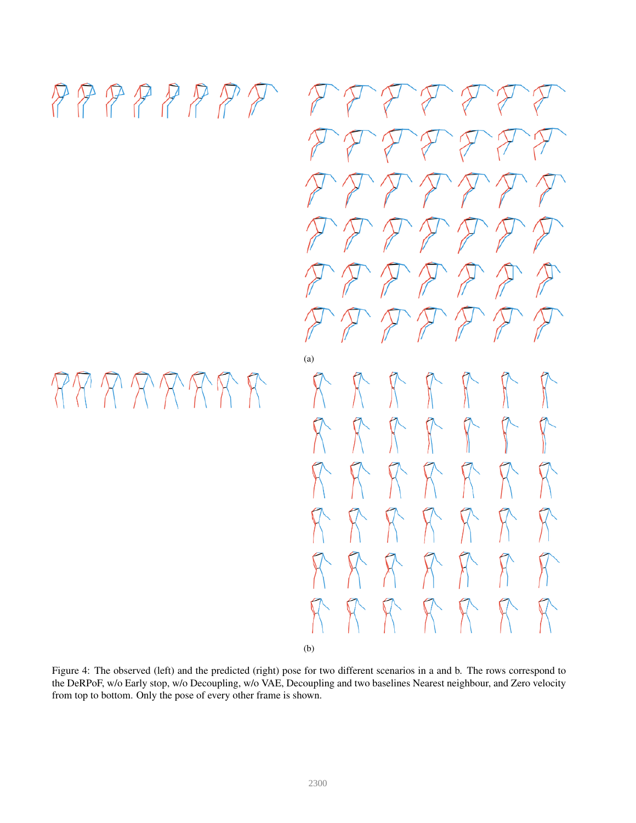## <span id="page-6-0"></span> $PPPPPPPPPT$

# RR R R R R R R

FFFFFFF  $\mathcal{F}\mathcal{F}\mathcal{F}\mathcal{F}\mathcal{F}\mathcal{F}\mathcal{F}$  $P P P P P P P P$ DE DE DE DE  $277777777$  $27777777$ (a)  $R$   $R$   $R$  $\sqrt{\ }$  $\mathbb{R}$  $\mathbb{R}$  $\sqrt{ }$  $\mathcal{R}$  $K$  $K$   $K$   $K$   $K$  $\mathcal{K}$  $K$   $K$   $K$  $\mathcal{H}$  $X^{\sim}$  $X$   $X$   $X$  $\mathcal{H}$  $\mathbb{R}$  $\mathcal{H}$  $K$   $K$   $K$   $K$   $K$  $\aleph$ (b)

Figure 4: The observed (left) and the predicted (right) pose for two different scenarios in a and b. The rows correspond to the DeRPoF, w/o Early stop, w/o Decoupling, w/o VAE, Decoupling and two baselines Nearest neighbour, and Zero velocity from top to bottom. Only the pose of every other frame is shown.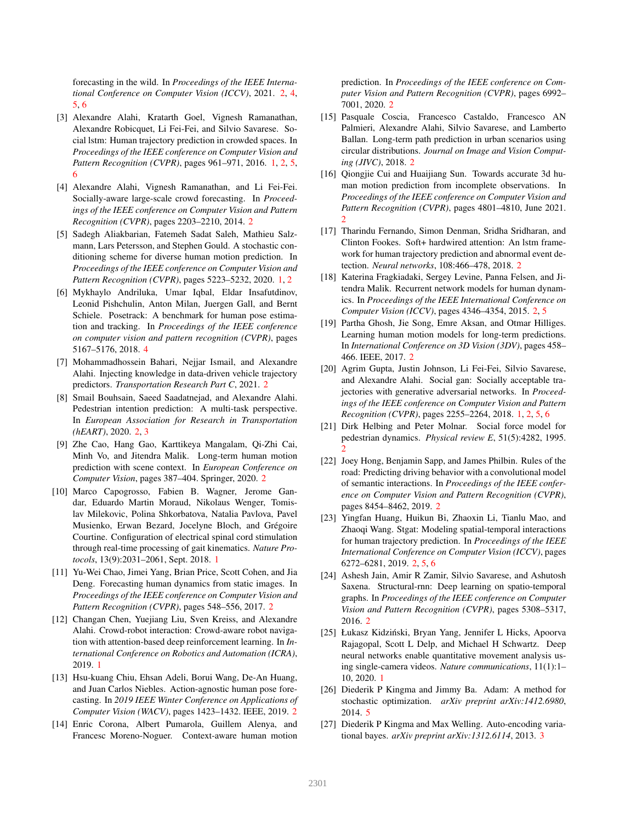forecasting in the wild. In *Proceedings of the IEEE International Conference on Computer Vision (ICCV)*, 2021. [2,](#page-1-0) [4,](#page-3-4) [5,](#page-4-0) [6](#page-5-5)

- <span id="page-7-3"></span>[3] Alexandre Alahi, Kratarth Goel, Vignesh Ramanathan, Alexandre Robicquet, Li Fei-Fei, and Silvio Savarese. Social lstm: Human trajectory prediction in crowded spaces. In *Proceedings of the IEEE conference on Computer Vision and Pattern Recognition (CVPR)*, pages 961–971, 2016. [1,](#page-0-2) [2,](#page-1-0) [5,](#page-4-0) [6](#page-5-5)
- <span id="page-7-7"></span>[4] Alexandre Alahi, Vignesh Ramanathan, and Li Fei-Fei. Socially-aware large-scale crowd forecasting. In *Proceedings of the IEEE conference on Computer Vision and Pattern Recognition (CVPR)*, pages 2203–2210, 2014. [2](#page-1-0)
- <span id="page-7-5"></span>[5] Sadegh Aliakbarian, Fatemeh Sadat Saleh, Mathieu Salzmann, Lars Petersson, and Stephen Gould. A stochastic conditioning scheme for diverse human motion prediction. In *Proceedings of the IEEE conference on Computer Vision and Pattern Recognition (CVPR)*, pages 5223–5232, 2020. [1,](#page-0-2) [2](#page-1-0)
- <span id="page-7-23"></span>[6] Mykhaylo Andriluka, Umar Iqbal, Eldar Insafutdinov, Leonid Pishchulin, Anton Milan, Juergen Gall, and Bernt Schiele. Posetrack: A benchmark for human pose estimation and tracking. In *Proceedings of the IEEE conference on computer vision and pattern recognition (CVPR)*, pages 5167–5176, 2018. [4](#page-3-4)
- <span id="page-7-11"></span>[7] Mohammadhossein Bahari, Nejjar Ismail, and Alexandre Alahi. Injecting knowledge in data-driven vehicle trajectory predictors. *Transportation Research Part C*, 2021. [2](#page-1-0)
- <span id="page-7-13"></span>[8] Smail Bouhsain, Saeed Saadatnejad, and Alexandre Alahi. Pedestrian intention prediction: A multi-task perspective. In *European Association for Research in Transportation (hEART)*, 2020. [2,](#page-1-0) [3](#page-2-4)
- <span id="page-7-21"></span>[9] Zhe Cao, Hang Gao, Karttikeya Mangalam, Qi-Zhi Cai, Minh Vo, and Jitendra Malik. Long-term human motion prediction with scene context. In *European Conference on Computer Vision*, pages 387–404. Springer, 2020. [2](#page-1-0)
- <span id="page-7-2"></span>[10] Marco Capogrosso, Fabien B. Wagner, Jerome Gandar, Eduardo Martin Moraud, Nikolaus Wenger, Tomislav Milekovic, Polina Shkorbatova, Natalia Pavlova, Pavel Musienko, Erwan Bezard, Jocelyne Bloch, and Grégoire Courtine. Configuration of electrical spinal cord stimulation through real-time processing of gait kinematics. *Nature Protocols*, 13(9):2031–2061, Sept. 2018. [1](#page-0-2)
- <span id="page-7-16"></span>[11] Yu-Wei Chao, Jimei Yang, Brian Price, Scott Cohen, and Jia Deng. Forecasting human dynamics from static images. In *Proceedings of the IEEE conference on Computer Vision and Pattern Recognition (CVPR)*, pages 548–556, 2017. [2](#page-1-0)
- <span id="page-7-0"></span>[12] Changan Chen, Yuejiang Liu, Sven Kreiss, and Alexandre Alahi. Crowd-robot interaction: Crowd-aware robot navigation with attention-based deep reinforcement learning. In *International Conference on Robotics and Automation (ICRA)*, 2019. [1](#page-0-2)
- <span id="page-7-18"></span>[13] Hsu-kuang Chiu, Ehsan Adeli, Borui Wang, De-An Huang, and Juan Carlos Niebles. Action-agnostic human pose forecasting. In *2019 IEEE Winter Conference on Applications of Computer Vision (WACV)*, pages 1423–1432. IEEE, 2019. [2](#page-1-0)
- <span id="page-7-19"></span>[14] Enric Corona, Albert Pumarola, Guillem Alenya, and Francesc Moreno-Noguer. Context-aware human motion

prediction. In *Proceedings of the IEEE conference on Computer Vision and Pattern Recognition (CVPR)*, pages 6992– 7001, 2020. [2](#page-1-0)

- <span id="page-7-8"></span>[15] Pasquale Coscia, Francesco Castaldo, Francesco AN Palmieri, Alexandre Alahi, Silvio Savarese, and Lamberto Ballan. Long-term path prediction in urban scenarios using circular distributions. *Journal on Image and Vision Computing (JIVC)*, 2018. [2](#page-1-0)
- <span id="page-7-20"></span>[16] Qiongjie Cui and Huaijiang Sun. Towards accurate 3d human motion prediction from incomplete observations. In *Proceedings of the IEEE conference on Computer Vision and Pattern Recognition (CVPR)*, pages 4801–4810, June 2021. [2](#page-1-0)
- <span id="page-7-9"></span>[17] Tharindu Fernando, Simon Denman, Sridha Sridharan, and Clinton Fookes. Soft+ hardwired attention: An lstm framework for human trajectory prediction and abnormal event detection. *Neural networks*, 108:466–478, 2018. [2](#page-1-0)
- <span id="page-7-14"></span>[18] Katerina Fragkiadaki, Sergey Levine, Panna Felsen, and Jitendra Malik. Recurrent network models for human dynamics. In *Proceedings of the IEEE International Conference on Computer Vision (ICCV)*, pages 4346–4354, 2015. [2,](#page-1-0) [5](#page-4-0)
- <span id="page-7-17"></span>[19] Partha Ghosh, Jie Song, Emre Aksan, and Otmar Hilliges. Learning human motion models for long-term predictions. In *International Conference on 3D Vision (3DV)*, pages 458– 466. IEEE, 2017. [2](#page-1-0)
- <span id="page-7-4"></span>[20] Agrim Gupta, Justin Johnson, Li Fei-Fei, Silvio Savarese, and Alexandre Alahi. Social gan: Socially acceptable trajectories with generative adversarial networks. In *Proceedings of the IEEE conference on Computer Vision and Pattern Recognition (CVPR)*, pages 2255–2264, 2018. [1,](#page-0-2) [2,](#page-1-0) [5,](#page-4-0) [6](#page-5-5)
- <span id="page-7-6"></span>[21] Dirk Helbing and Peter Molnar. Social force model for pedestrian dynamics. *Physical review E*, 51(5):4282, 1995. [2](#page-1-0)
- <span id="page-7-12"></span>[22] Joey Hong, Benjamin Sapp, and James Philbin. Rules of the road: Predicting driving behavior with a convolutional model of semantic interactions. In *Proceedings of the IEEE conference on Computer Vision and Pattern Recognition (CVPR)*, pages 8454–8462, 2019. [2](#page-1-0)
- <span id="page-7-10"></span>[23] Yingfan Huang, Huikun Bi, Zhaoxin Li, Tianlu Mao, and Zhaoqi Wang. Stgat: Modeling spatial-temporal interactions for human trajectory prediction. In *Proceedings of the IEEE International Conference on Computer Vision (ICCV)*, pages 6272–6281, 2019. [2,](#page-1-0) [5,](#page-4-0) [6](#page-5-5)
- <span id="page-7-15"></span>[24] Ashesh Jain, Amir R Zamir, Silvio Savarese, and Ashutosh Saxena. Structural-rnn: Deep learning on spatio-temporal graphs. In *Proceedings of the IEEE conference on Computer Vision and Pattern Recognition (CVPR)*, pages 5308–5317, 2016. [2](#page-1-0)
- <span id="page-7-1"></span>[25] Łukasz Kidziński, Bryan Yang, Jennifer L Hicks, Apoorva Rajagopal, Scott L Delp, and Michael H Schwartz. Deep neural networks enable quantitative movement analysis using single-camera videos. *Nature communications*, 11(1):1– 10, 2020. [1](#page-0-2)
- <span id="page-7-24"></span>[26] Diederik P Kingma and Jimmy Ba. Adam: A method for stochastic optimization. *arXiv preprint arXiv:1412.6980*, 2014. [5](#page-4-0)
- <span id="page-7-22"></span>[27] Diederik P Kingma and Max Welling. Auto-encoding variational bayes. *arXiv preprint arXiv:1312.6114*, 2013. [3](#page-2-4)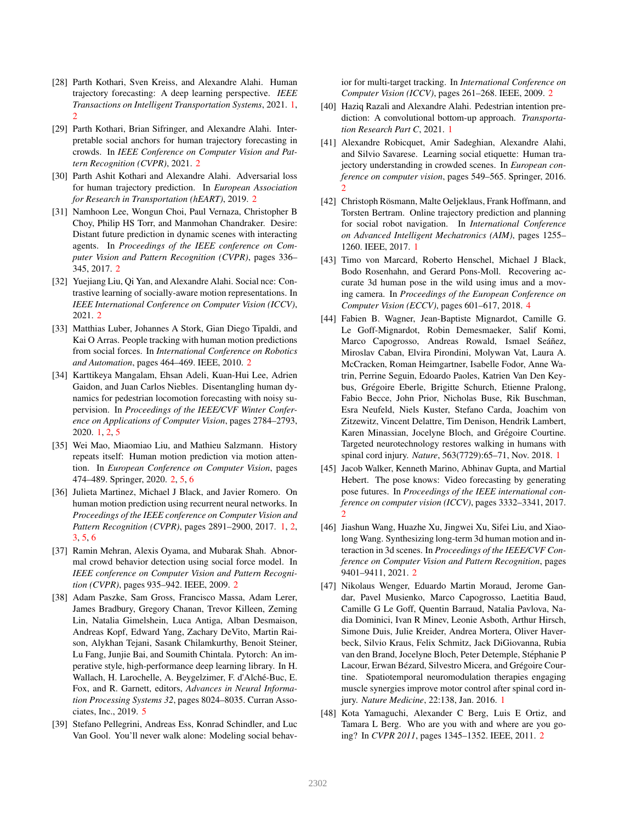- <span id="page-8-4"></span>[28] Parth Kothari, Sven Kreiss, and Alexandre Alahi. Human trajectory forecasting: A deep learning perspective. *IEEE Transactions on Intelligent Transportation Systems*, 2021. [1,](#page-0-2) [2](#page-1-0)
- <span id="page-8-14"></span>[29] Parth Kothari, Brian Sifringer, and Alexandre Alahi. Interpretable social anchors for human trajectory forecasting in crowds. In *IEEE Conference on Computer Vision and Pattern Recognition (CVPR)*, 2021. [2](#page-1-0)
- <span id="page-8-13"></span>[30] Parth Ashit Kothari and Alexandre Alahi. Adversarial loss for human trajectory prediction. In *European Association for Research in Transportation (hEART)*, 2019. [2](#page-1-0)
- <span id="page-8-12"></span>[31] Namhoon Lee, Wongun Choi, Paul Vernaza, Christopher B Choy, Philip HS Torr, and Manmohan Chandraker. Desire: Distant future prediction in dynamic scenes with interacting agents. In *Proceedings of the IEEE conference on Computer Vision and Pattern Recognition (CVPR)*, pages 336– 345, 2017. [2](#page-1-0)
- <span id="page-8-15"></span>[32] Yuejiang Liu, Qi Yan, and Alexandre Alahi. Social nce: Contrastive learning of socially-aware motion representations. In *IEEE International Conference on Computer Vision (ICCV)*, 2021. [2](#page-1-0)
- <span id="page-8-8"></span>[33] Matthias Luber, Johannes A Stork, Gian Diego Tipaldi, and Kai O Arras. People tracking with human motion predictions from social forces. In *International Conference on Robotics and Automation*, pages 464–469. IEEE, 2010. [2](#page-1-0)
- <span id="page-8-0"></span>[34] Karttikeya Mangalam, Ehsan Adeli, Kuan-Hui Lee, Adrien Gaidon, and Juan Carlos Niebles. Disentangling human dynamics for pedestrian locomotion forecasting with noisy supervision. In *Proceedings of the IEEE/CVF Winter Conference on Applications of Computer Vision*, pages 2784–2793, 2020. [1,](#page-0-2) [2,](#page-1-0) [5](#page-4-0)
- <span id="page-8-16"></span>[35] Wei Mao, Miaomiao Liu, and Mathieu Salzmann. History repeats itself: Human motion prediction via motion attention. In *European Conference on Computer Vision*, pages 474–489. Springer, 2020. [2,](#page-1-0) [5,](#page-4-0) [6](#page-5-5)
- <span id="page-8-6"></span>[36] Julieta Martinez, Michael J Black, and Javier Romero. On human motion prediction using recurrent neural networks. In *Proceedings of the IEEE conference on Computer Vision and Pattern Recognition (CVPR)*, pages 2891–2900, 2017. [1,](#page-0-2) [2,](#page-1-0) [3,](#page-2-4) [5,](#page-4-0) [6](#page-5-5)
- <span id="page-8-9"></span>[37] Ramin Mehran, Alexis Oyama, and Mubarak Shah. Abnormal crowd behavior detection using social force model. In *IEEE conference on Computer Vision and Pattern Recognition (CVPR)*, pages 935–942. IEEE, 2009. [2](#page-1-0)
- <span id="page-8-20"></span>[38] Adam Paszke, Sam Gross, Francisco Massa, Adam Lerer, James Bradbury, Gregory Chanan, Trevor Killeen, Zeming Lin, Natalia Gimelshein, Luca Antiga, Alban Desmaison, Andreas Kopf, Edward Yang, Zachary DeVito, Martin Raison, Alykhan Tejani, Sasank Chilamkurthy, Benoit Steiner, Lu Fang, Junjie Bai, and Soumith Chintala. Pytorch: An imperative style, high-performance deep learning library. In H. Wallach, H. Larochelle, A. Beygelzimer, F. d'Alché-Buc, E. Fox, and R. Garnett, editors, *Advances in Neural Information Processing Systems 32*, pages 8024–8035. Curran Associates, Inc., 2019. [5](#page-4-0)
- <span id="page-8-10"></span>[39] Stefano Pellegrini, Andreas Ess, Konrad Schindler, and Luc Van Gool. You'll never walk alone: Modeling social behav-

ior for multi-target tracking. In *International Conference on Computer Vision (ICCV)*, pages 261–268. IEEE, 2009. [2](#page-1-0)

- <span id="page-8-5"></span>[40] Haziq Razali and Alexandre Alahi. Pedestrian intention prediction: A convolutional bottom-up approach. *Transportation Research Part C*, 2021. [1](#page-0-2)
- <span id="page-8-11"></span>[41] Alexandre Robicquet, Amir Sadeghian, Alexandre Alahi, and Silvio Savarese. Learning social etiquette: Human trajectory understanding in crowded scenes. In *European conference on computer vision*, pages 549–565. Springer, 2016. [2](#page-1-0)
- <span id="page-8-1"></span>[42] Christoph Rösmann, Malte Oeljeklaus, Frank Hoffmann, and Torsten Bertram. Online trajectory prediction and planning for social robot navigation. In *International Conference on Advanced Intelligent Mechatronics (AIM)*, pages 1255– 1260. IEEE, 2017. [1](#page-0-2)
- <span id="page-8-19"></span>[43] Timo von Marcard, Roberto Henschel, Michael J Black, Bodo Rosenhahn, and Gerard Pons-Moll. Recovering accurate 3d human pose in the wild using imus and a moving camera. In *Proceedings of the European Conference on Computer Vision (ECCV)*, pages 601–617, 2018. [4](#page-3-4)
- <span id="page-8-3"></span>[44] Fabien B. Wagner, Jean-Baptiste Mignardot, Camille G. Le Goff-Mignardot, Robin Demesmaeker, Salif Komi, Marco Capogrosso, Andreas Rowald, Ismael Seáñez, Miroslav Caban, Elvira Pirondini, Molywan Vat, Laura A. McCracken, Roman Heimgartner, Isabelle Fodor, Anne Watrin, Perrine Seguin, Edoardo Paoles, Katrien Van Den Keybus, Grégoire Eberle, Brigitte Schurch, Etienne Pralong, Fabio Becce, John Prior, Nicholas Buse, Rik Buschman, Esra Neufeld, Niels Kuster, Stefano Carda, Joachim von Zitzewitz, Vincent Delattre, Tim Denison, Hendrik Lambert, Karen Minassian, Jocelyne Bloch, and Grégoire Courtine. Targeted neurotechnology restores walking in humans with spinal cord injury. *Nature*, 563(7729):65–71, Nov. 2018. [1](#page-0-2)
- <span id="page-8-17"></span>[45] Jacob Walker, Kenneth Marino, Abhinav Gupta, and Martial Hebert. The pose knows: Video forecasting by generating pose futures. In *Proceedings of the IEEE international conference on computer vision (ICCV)*, pages 3332–3341, 2017. [2](#page-1-0)
- <span id="page-8-18"></span>[46] Jiashun Wang, Huazhe Xu, Jingwei Xu, Sifei Liu, and Xiaolong Wang. Synthesizing long-term 3d human motion and interaction in 3d scenes. In *Proceedings of the IEEE/CVF Conference on Computer Vision and Pattern Recognition*, pages 9401–9411, 2021. [2](#page-1-0)
- <span id="page-8-2"></span>[47] Nikolaus Wenger, Eduardo Martin Moraud, Jerome Gandar, Pavel Musienko, Marco Capogrosso, Laetitia Baud, Camille G Le Goff, Quentin Barraud, Natalia Pavlova, Nadia Dominici, Ivan R Minev, Leonie Asboth, Arthur Hirsch, Simone Duis, Julie Kreider, Andrea Mortera, Oliver Haverbeck, Silvio Kraus, Felix Schmitz, Jack DiGiovanna, Rubia van den Brand, Jocelyne Bloch, Peter Detemple, Stéphanie P Lacour, Erwan Bézard, Silvestro Micera, and Grégoire Courtine. Spatiotemporal neuromodulation therapies engaging muscle synergies improve motor control after spinal cord injury. *Nature Medicine*, 22:138, Jan. 2016. [1](#page-0-2)
- <span id="page-8-7"></span>[48] Kota Yamaguchi, Alexander C Berg, Luis E Ortiz, and Tamara L Berg. Who are you with and where are you going? In *CVPR 2011*, pages 1345–1352. IEEE, 2011. [2](#page-1-0)